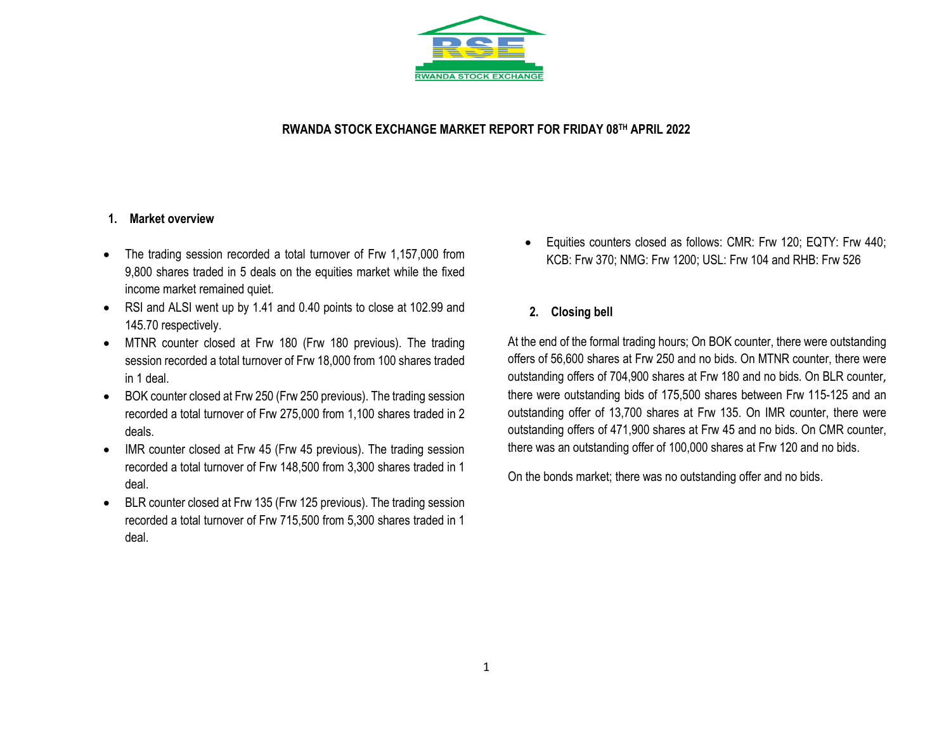

### **RWANDA STOCK EXCHANGE MARKET REPORT FOR FRIDAY 08 TH APRIL 2022**

#### **1. Market overview**

- The trading session recorded a total turnover of Frw 1,157,000 from 9,800 shares traded in 5 deals on the equities market while the fixed income market remained quiet.
- RSI and ALSI went up by 1.41 and 0.40 points to close at 102.99 and 145.70 respectively.
- MTNR counter closed at Frw 180 (Frw 180 previous). The trading session recorded a total turnover of Frw 18,000 from 100 shares traded in 1 deal.
- BOK counter closed at Frw 250 (Frw 250 previous). The trading session recorded a total turnover of Frw 275,000 from 1,100 shares traded in 2 deals.
- IMR counter closed at Frw 45 (Frw 45 previous). The trading session recorded a total turnover of Frw 148,500 from 3,300 shares traded in 1 deal.
- BLR counter closed at Frw 135 (Frw 125 previous). The trading session recorded a total turnover of Frw 715,500 from 5,300 shares traded in 1 deal.
- Equities counters closed as follows: CMR: Frw 120; EQTY: Frw 440; KCB: Frw 370; NMG: Frw 1200; USL: Frw 104 and RHB: Frw 526
- **2. Closing bell**

At the end of the formal trading hours; On BOK counter, there were outstanding offers of 56,600 shares at Frw 250 and no bids. On MTNR counter, there were outstanding offers of 704,900 shares at Frw 180 and no bids. On BLR counter, there were outstanding bids of 175,500 shares between Frw 115-125 and an outstanding offer of 13,700 shares at Frw 135. On IMR counter, there were outstanding offers of 471,900 shares at Frw 45 and no bids. On CMR counter, there was an outstanding offer of 100,000 shares at Frw 120 and no bids.

On the bonds market; there was no outstanding offer and no bids.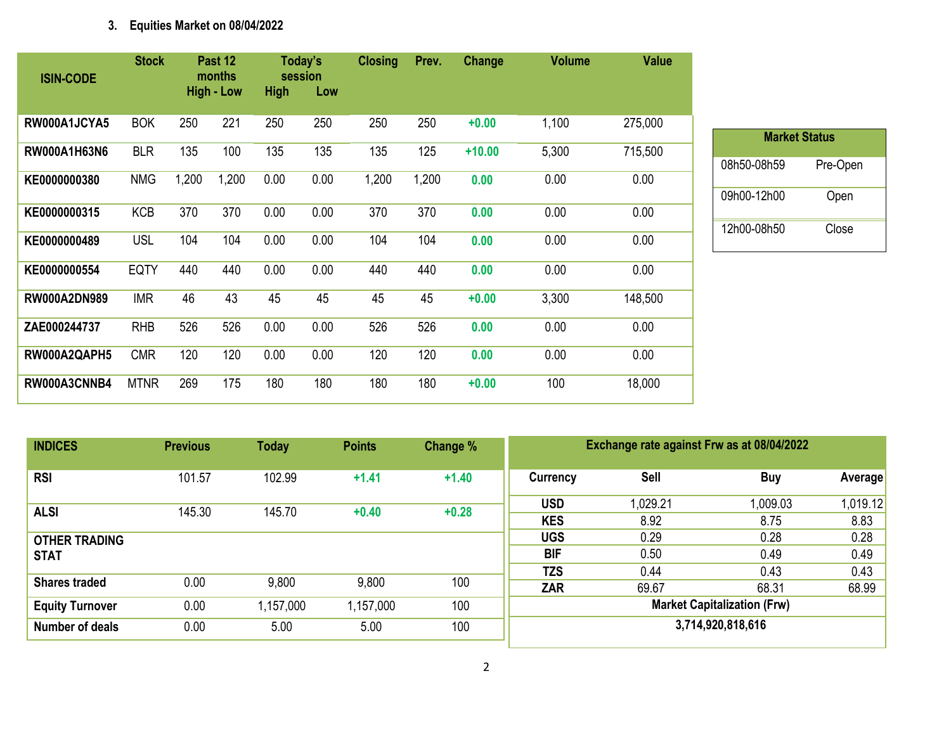# **3. Equities Market on 08/04/2022**

| <b>ISIN-CODE</b>    | <b>Stock</b> |       | Past 12<br>months<br><b>High - Low</b> | <b>High</b> | Today's<br>session<br>Low | <b>Closing</b> | Prev. | Change   | <b>Volume</b> | <b>Value</b> |
|---------------------|--------------|-------|----------------------------------------|-------------|---------------------------|----------------|-------|----------|---------------|--------------|
| RW000A1JCYA5        | <b>BOK</b>   | 250   | 221                                    | 250         | 250                       | 250            | 250   | $+0.00$  | 1,100         | 275,000      |
| RW000A1H63N6        | <b>BLR</b>   | 135   | 100                                    | 135         | 135                       | 135            | 125   | $+10.00$ | 5,300         | 715,500      |
| KE0000000380        | <b>NMG</b>   | 1,200 | 1,200                                  | 0.00        | 0.00                      | 1,200          | 1,200 | 0.00     | 0.00          | 0.00         |
| KE0000000315        | <b>KCB</b>   | 370   | 370                                    | 0.00        | 0.00                      | 370            | 370   | 0.00     | 0.00          | 0.00         |
| KE0000000489        | <b>USL</b>   | 104   | 104                                    | 0.00        | 0.00                      | 104            | 104   | 0.00     | 0.00          | 0.00         |
| KE0000000554        | <b>EQTY</b>  | 440   | 440                                    | 0.00        | 0.00                      | 440            | 440   | 0.00     | 0.00          | 0.00         |
| <b>RW000A2DN989</b> | <b>IMR</b>   | 46    | 43                                     | 45          | 45                        | 45             | 45    | $+0.00$  | 3,300         | 148,500      |
| ZAE000244737        | <b>RHB</b>   | 526   | 526                                    | 0.00        | 0.00                      | 526            | 526   | 0.00     | 0.00          | 0.00         |
| RW000A2QAPH5        | <b>CMR</b>   | 120   | 120                                    | 0.00        | 0.00                      | 120            | 120   | 0.00     | 0.00          | 0.00         |
| RW000A3CNNB4        | <b>MTNR</b>  | 269   | 175                                    | 180         | 180                       | 180            | 180   | $+0.00$  | 100           | 18,000       |

| <b>Market Status</b> |          |
|----------------------|----------|
| 08h50-08h59          | Pre-Open |
| 09h00-12h00          | Open     |
| 12h00-08h50          | Close    |

| <b>INDICES</b>         | <b>Previous</b> | <b>Today</b> | <b>Points</b> | Change % | Exchange rate against Frw as at 08/04/2022 |          |          |          |  |
|------------------------|-----------------|--------------|---------------|----------|--------------------------------------------|----------|----------|----------|--|
| <b>RSI</b>             | 101.57          | 102.99       | $+1.41$       | $+1.40$  | Currency                                   | Sell     | Buy      | Average  |  |
| <b>ALSI</b>            | 145.30          | 145.70       | $+0.40$       | $+0.28$  | <b>USD</b>                                 | 1,029.21 | 1,009.03 | 1,019.12 |  |
|                        |                 |              |               |          | <b>KES</b>                                 | 8.92     | 8.75     | 8.83     |  |
| <b>OTHER TRADING</b>   |                 |              |               |          | <b>UGS</b>                                 | 0.29     | 0.28     | 0.28     |  |
| <b>STAT</b>            |                 |              |               |          | <b>BIF</b>                                 | 0.50     | 0.49     | 0.49     |  |
|                        |                 |              |               |          | <b>TZS</b>                                 | 0.44     | 0.43     | 0.43     |  |
| <b>Shares traded</b>   | 0.00            | 9,800        | 9,800         | 100      | <b>ZAR</b>                                 | 69.67    | 68.31    | 68.99    |  |
| <b>Equity Turnover</b> | 0.00            | 1,157,000    | 1,157,000     | 100      | <b>Market Capitalization (Frw)</b>         |          |          |          |  |
| Number of deals        | 0.00            | 5.00         | 5.00          | 100      | 3,714,920,818,616                          |          |          |          |  |
|                        |                 |              |               |          |                                            |          |          |          |  |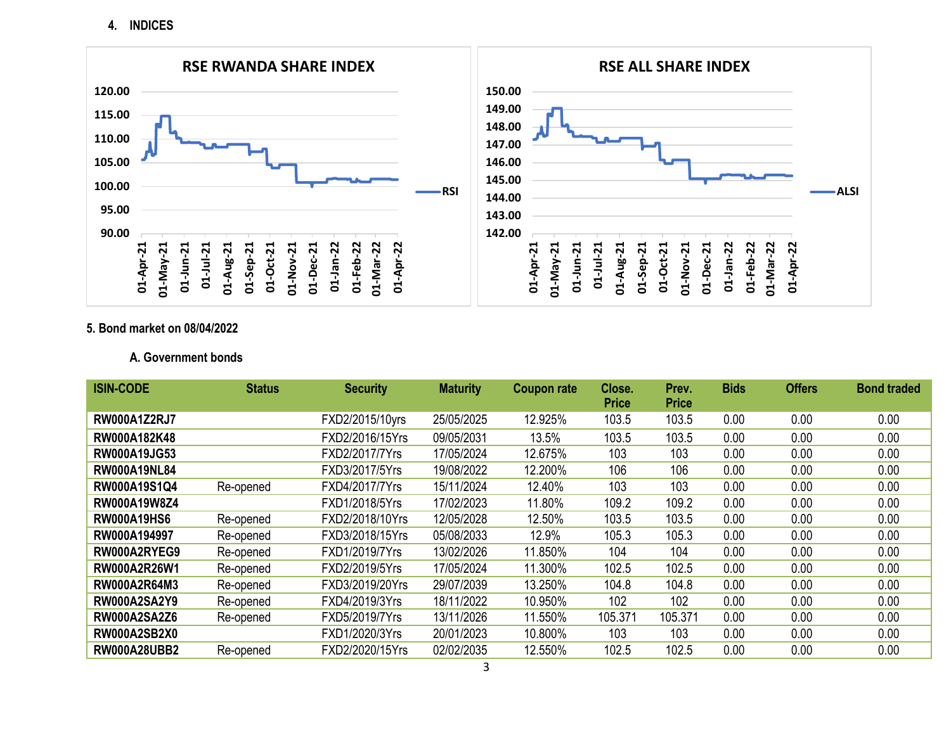**4. INDICES**



#### **5. Bond market on 08/04/2022**

### **A. Government bonds**

| <b>ISIN-CODE</b>    | <b>Status</b> | <b>Security</b> | <b>Maturity</b> | <b>Coupon rate</b> | Close.       | Prev.        | <b>Bids</b> | <b>Offers</b> | <b>Bond traded</b> |
|---------------------|---------------|-----------------|-----------------|--------------------|--------------|--------------|-------------|---------------|--------------------|
|                     |               |                 |                 |                    | <b>Price</b> | <b>Price</b> |             |               |                    |
| <b>RW000A1Z2RJ7</b> |               | FXD2/2015/10yrs | 25/05/2025      | 12.925%            | 103.5        | 103.5        | 0.00        | 0.00          | 0.00               |
| RW000A182K48        |               | FXD2/2016/15Yrs | 09/05/2031      | 13.5%              | 103.5        | 103.5        | 0.00        | 0.00          | 0.00               |
| RW000A19JG53        |               | FXD2/2017/7Yrs  | 17/05/2024      | 12.675%            | 103          | 103          | 0.00        | 0.00          | 0.00               |
| <b>RW000A19NL84</b> |               | FXD3/2017/5Yrs  | 19/08/2022      | 12.200%            | 106          | 106          | 0.00        | 0.00          | 0.00               |
| RW000A19S1Q4        | Re-opened     | FXD4/2017/7Yrs  | 15/11/2024      | 12.40%             | 103          | 103          | 0.00        | 0.00          | 0.00               |
| RW000A19W8Z4        |               | FXD1/2018/5Yrs  | 17/02/2023      | 11.80%             | 109.2        | 109.2        | 0.00        | 0.00          | 0.00               |
| <b>RW000A19HS6</b>  | Re-opened     | FXD2/2018/10Yrs | 12/05/2028      | 12.50%             | 103.5        | 103.5        | 0.00        | 0.00          | 0.00               |
| RW000A194997        | Re-opened     | FXD3/2018/15Yrs | 05/08/2033      | 12.9%              | 105.3        | 105.3        | 0.00        | 0.00          | 0.00               |
| RW000A2RYEG9        | Re-opened     | FXD1/2019/7Yrs  | 13/02/2026      | 11.850%            | 104          | 104          | 0.00        | 0.00          | 0.00               |
| RW000A2R26W1        | Re-opened     | FXD2/2019/5Yrs  | 17/05/2024      | 11.300%            | 102.5        | 102.5        | 0.00        | 0.00          | 0.00               |
| <b>RW000A2R64M3</b> | Re-opened     | FXD3/2019/20Yrs | 29/07/2039      | 13.250%            | 104.8        | 104.8        | 0.00        | 0.00          | 0.00               |
| <b>RW000A2SA2Y9</b> | Re-opened     | FXD4/2019/3Yrs  | 18/11/2022      | 10.950%            | 102          | 102          | 0.00        | 0.00          | 0.00               |
| <b>RW000A2SA2Z6</b> | Re-opened     | FXD5/2019/7Yrs  | 13/11/2026      | 11.550%            | 105.371      | 105.371      | 0.00        | 0.00          | 0.00               |
| <b>RW000A2SB2X0</b> |               | FXD1/2020/3Yrs  | 20/01/2023      | 10.800%            | 103          | 103          | 0.00        | 0.00          | 0.00               |
| <b>RW000A28UBB2</b> | Re-opened     | FXD2/2020/15Yrs | 02/02/2035      | 12.550%            | 102.5        | 102.5        | 0.00        | 0.00          | 0.00               |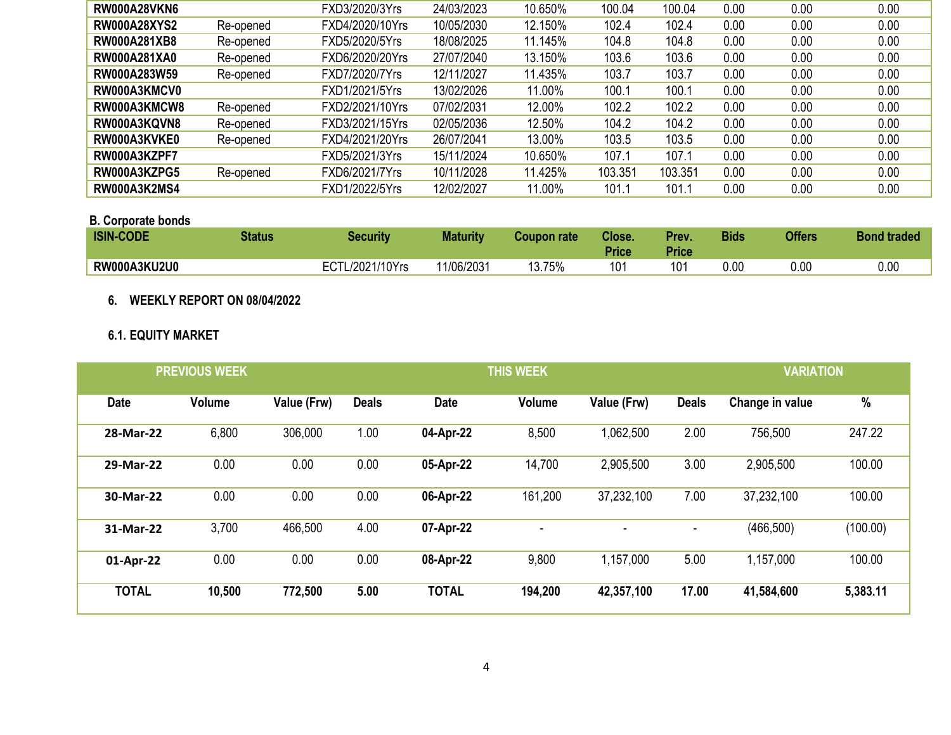| <b>RW000A28VKN6</b> |           | FXD3/2020/3Yrs  | 24/03/2023 | 10.650% | 100.04  | 100.04  | 0.00 | 0.00 | 0.00 |
|---------------------|-----------|-----------------|------------|---------|---------|---------|------|------|------|
| <b>RW000A28XYS2</b> | Re-opened | FXD4/2020/10Yrs | 10/05/2030 | 12.150% | 102.4   | 102.4   | 0.00 | 0.00 | 0.00 |
| <b>RW000A281XB8</b> | Re-opened | FXD5/2020/5Yrs  | 18/08/2025 | 11.145% | 104.8   | 104.8   | 0.00 | 0.00 | 0.00 |
| <b>RW000A281XA0</b> | Re-opened | FXD6/2020/20Yrs | 27/07/2040 | 13.150% | 103.6   | 103.6   | 0.00 | 0.00 | 0.00 |
| RW000A283W59        | Re-opened | FXD7/2020/7Yrs  | 12/11/2027 | 11.435% | 103.7   | 103.7   | 0.00 | 0.00 | 0.00 |
| RW000A3KMCV0        |           | FXD1/2021/5Yrs  | 13/02/2026 | 11.00%  | 100.1   | 100.1   | 0.00 | 0.00 | 0.00 |
| RW000A3KMCW8        | Re-opened | FXD2/2021/10Yrs | 07/02/2031 | 12.00%  | 102.2   | 102.2   | 0.00 | 0.00 | 0.00 |
| RW000A3KQVN8        | Re-opened | FXD3/2021/15Yrs | 02/05/2036 | 12.50%  | 104.2   | 104.2   | 0.00 | 0.00 | 0.00 |
| RW000A3KVKE0        | Re-opened | FXD4/2021/20Yrs | 26/07/2041 | 13.00%  | 103.5   | 103.5   | 0.00 | 0.00 | 0.00 |
| RW000A3KZPF7        |           | FXD5/2021/3Yrs  | 15/11/2024 | 10.650% | 107.1   | 107.1   | 0.00 | 0.00 | 0.00 |
| RW000A3KZPG5        | Re-opened | FXD6/2021/7Yrs  | 10/11/2028 | 11.425% | 103.351 | 103.351 | 0.00 | 0.00 | 0.00 |
| <b>RW000A3K2MS4</b> |           | FXD1/2022/5Yrs  | 12/02/2027 | 11.00%  | 101.1   | 101.1   | 0.00 | 0.00 | 0.00 |

### **B. Corporate bonds**

| <b>ISIN-CODE</b>    | <b>Status</b> | Security             | <b>Maturity</b> | Coupon rate | Close.<br><b>Price</b> | Prev.<br><b>Price</b> | <b>Bids</b> | <b>Offers</b> | <b>Bond traded</b> |
|---------------------|---------------|----------------------|-----------------|-------------|------------------------|-----------------------|-------------|---------------|--------------------|
| <b>RW000A3KU2U0</b> |               | L/2021/10Yrs<br>∟∪ i | 11/06/2031      | 13.75%      | 10 <sub>1</sub>        | 101                   | $0.00\,$    | 0.OC          | 0.00               |

## **6. WEEKLY REPORT ON 08/04/2022**

# **6.1. EQUITY MARKET**

| <b>PREVIOUS WEEK</b> |               |             |              | <b>THIS WEEK</b> | <b>VARIATION</b> |             |              |                 |          |
|----------------------|---------------|-------------|--------------|------------------|------------------|-------------|--------------|-----------------|----------|
| <b>Date</b>          | <b>Volume</b> | Value (Frw) | <b>Deals</b> | <b>Date</b>      | <b>Volume</b>    | Value (Frw) | <b>Deals</b> | Change in value | %        |
| 28-Mar-22            | 6,800         | 306,000     | 1.00         | 04-Apr-22        | 8,500            | 1,062,500   | 2.00         | 756,500         | 247.22   |
| 29-Mar-22            | 0.00          | 0.00        | 0.00         | 05-Apr-22        | 14,700           | 2,905,500   | 3.00         | 2,905,500       | 100.00   |
| 30-Mar-22            | 0.00          | 0.00        | 0.00         | 06-Apr-22        | 161,200          | 37,232,100  | 7.00         | 37,232,100      | 100.00   |
| 31-Mar-22            | 3,700         | 466,500     | 4.00         | 07-Apr-22        |                  |             | ٠            | (466, 500)      | (100.00) |
| 01-Apr-22            | 0.00          | 0.00        | 0.00         | 08-Apr-22        | 9,800            | 1,157,000   | 5.00         | 1,157,000       | 100.00   |
| <b>TOTAL</b>         | 10,500        | 772,500     | 5.00         | <b>TOTAL</b>     | 194,200          | 42,357,100  | 17.00        | 41,584,600      | 5,383.11 |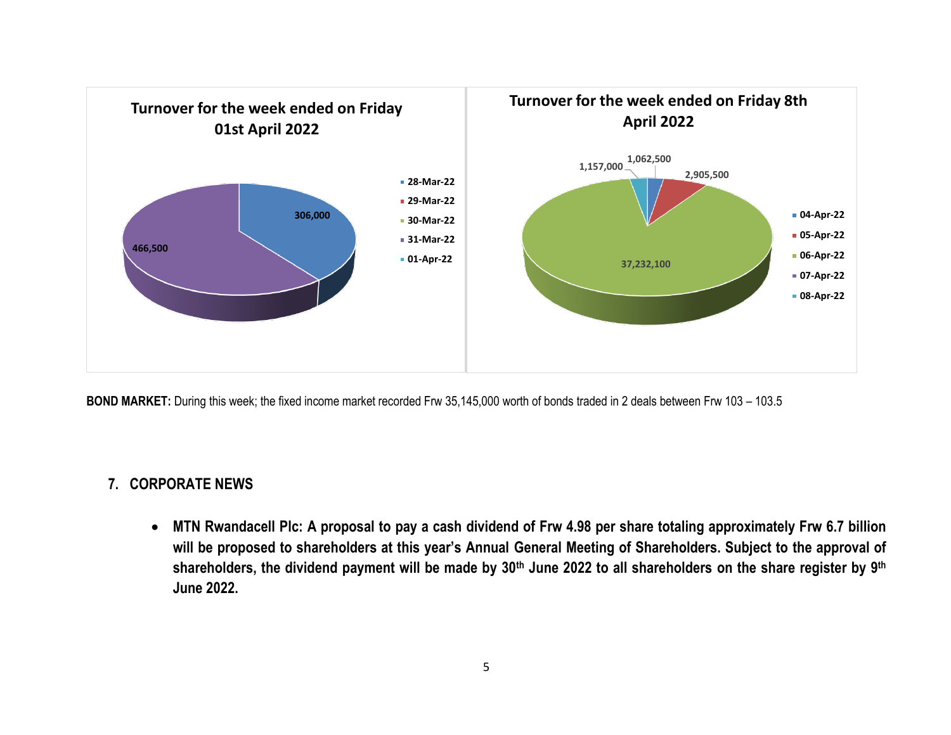

**BOND MARKET:** During this week; the fixed income market recorded Frw 35,145,000 worth of bonds traded in 2 deals between Frw 103 – 103.5

# **7. CORPORATE NEWS**

• **MTN Rwandacell Plc: A proposal to pay a cash dividend of Frw 4.98 per share totaling approximately Frw 6.7 billion will be proposed to shareholders at this year's Annual General Meeting of Shareholders. Subject to the approval of shareholders, the dividend payment will be made by 30th June 2022 to all shareholders on the share register by 9th June 2022.**